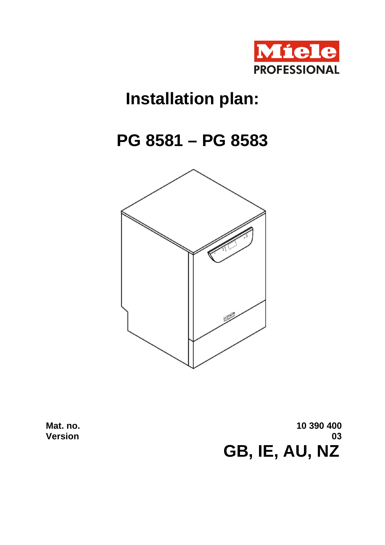

## **Installation plan:**

## **PG 8581 – PG 8583**



**Mat. no. Version**

**10 390 400 03 GB, IE, AU, NZ**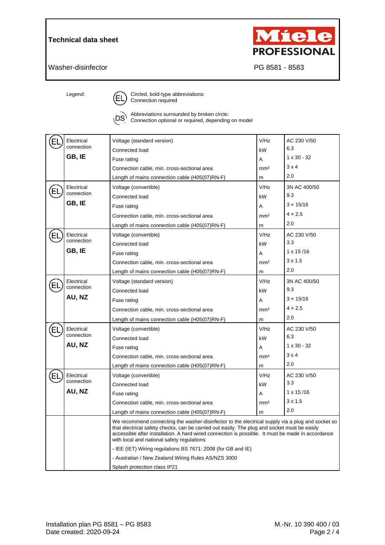## **Technical data sheet**



Washer-disinfector **PG 8581 - 8583** 

Legend:  $\bigcap$  Circled, bold-type abbreviations: Connection required



Abbreviations surrounded by broken circle:  $'DS$ Connection optional or required, depending on model

| EI | Electrical           | Voltage (standard version)                                                                                                                                                                                                                                                                                                                           | V/Hz            | AC 230 V/50        |  |
|----|----------------------|------------------------------------------------------------------------------------------------------------------------------------------------------------------------------------------------------------------------------------------------------------------------------------------------------------------------------------------------------|-----------------|--------------------|--|
|    | connection           | Connected load                                                                                                                                                                                                                                                                                                                                       | kW              | 6.3                |  |
|    | GB, IE               | Fuse rating                                                                                                                                                                                                                                                                                                                                          | A               | $1 \times 30 - 32$ |  |
|    |                      | Connection cable, min. cross-sectional area                                                                                                                                                                                                                                                                                                          | mm <sup>2</sup> | 3x4                |  |
|    |                      | Length of mains connection cable (H05(07)RN-F)                                                                                                                                                                                                                                                                                                       | m               | 2.0                |  |
|    | Electrical           | Voltage (convertible)                                                                                                                                                                                                                                                                                                                                | V/Hz            | 3N AC 400/50       |  |
| El | connection<br>GB, IE | Connected load                                                                                                                                                                                                                                                                                                                                       | kW              | 9.3                |  |
|    |                      | Fuse rating                                                                                                                                                                                                                                                                                                                                          | A               | $3 \times 15/16$   |  |
|    |                      | Connection cable, min. cross-sectional area                                                                                                                                                                                                                                                                                                          | mm <sup>2</sup> | $4 \times 2.5$     |  |
|    |                      | Length of mains connection cable (H05(07)RN-F)                                                                                                                                                                                                                                                                                                       | m               | 2.0                |  |
| ΕL | Electrical           | Voltage (convertible)                                                                                                                                                                                                                                                                                                                                | V/Hz            | AC 230 V/50        |  |
|    | connection           | Connected load                                                                                                                                                                                                                                                                                                                                       | kW              | 3.3                |  |
|    | GB, IE               | Fuse rating                                                                                                                                                                                                                                                                                                                                          | A               | $1 \times 15/16$   |  |
|    |                      | Connection cable, min. cross-sectional area                                                                                                                                                                                                                                                                                                          | mm <sup>2</sup> | $3 \times 1.5$     |  |
|    |                      | Length of mains connection cable (H05(07)RN-F)                                                                                                                                                                                                                                                                                                       | m               | 2.0                |  |
| Εl | Electrical           | Voltage (standard version)                                                                                                                                                                                                                                                                                                                           | V/Hz            | 3N AC 400/50       |  |
|    | connection           | Connected load                                                                                                                                                                                                                                                                                                                                       | kW              | 9.3                |  |
|    | AU, NZ               | Fuse rating                                                                                                                                                                                                                                                                                                                                          | A               | $3 \times 15/16$   |  |
|    |                      | Connection cable, min. cross-sectional area                                                                                                                                                                                                                                                                                                          | mm <sup>2</sup> | $4 \times 2.5$     |  |
|    |                      | Length of mains connection cable (H05(07)RN-F)                                                                                                                                                                                                                                                                                                       | m               | 2.0                |  |
|    | Electrical           | Voltage (convertible)                                                                                                                                                                                                                                                                                                                                | V/Hz            | AC 230 V/50        |  |
|    | connection           | Connected load                                                                                                                                                                                                                                                                                                                                       | kW              | 6.3                |  |
|    | AU, NZ               | Fuse rating                                                                                                                                                                                                                                                                                                                                          | Α               | $1 \times 30 - 32$ |  |
|    |                      | Connection cable, min. cross-sectional area                                                                                                                                                                                                                                                                                                          | mm <sup>2</sup> | 3x4                |  |
|    |                      | Length of mains connection cable (H05(07)RN-F)                                                                                                                                                                                                                                                                                                       | m               | 2.0                |  |
| ᄂ  | Electrical           | Voltage (convertible)                                                                                                                                                                                                                                                                                                                                | V/Hz            | AC 230 V/50        |  |
|    | connection           | Connected load                                                                                                                                                                                                                                                                                                                                       | kW              | 3.3                |  |
|    | AU, NZ               | Fuse rating                                                                                                                                                                                                                                                                                                                                          | A               | $1 \times 15/16$   |  |
|    |                      | Connection cable, min. cross-sectional area                                                                                                                                                                                                                                                                                                          | mm <sup>2</sup> | $3 \times 1.5$     |  |
|    |                      | Length of mains connection cable (H05(07)RN-F)                                                                                                                                                                                                                                                                                                       | m               | 2.0                |  |
|    |                      | We recommend connecting the washer-disinfector to the electrical supply via a plug and socket so<br>that electrical safety checks, can be carried out easily. The plug and socket must be easily<br>accessible after installation. A hard wired connection is possible. It must be made in accordance<br>with local and national safety regulations: |                 |                    |  |
|    |                      | - IEE (IET) Wiring regulations BS 7671: 2008 (for GB and IE)                                                                                                                                                                                                                                                                                         |                 |                    |  |
|    |                      | - Australian / New Zealand Wiring Rules AS/NZS 3000                                                                                                                                                                                                                                                                                                  |                 |                    |  |
|    |                      | Splash protection class IP21                                                                                                                                                                                                                                                                                                                         |                 |                    |  |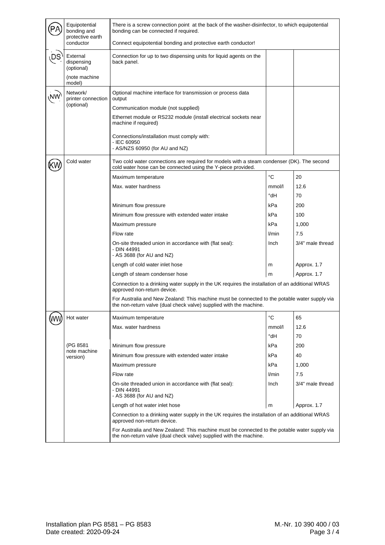|  | Equipotential<br>bonding and<br>protective earth                                                                                                                    | There is a screw connection point at the back of the washer-disinfector, to which equipotential<br>bonding can be connected if required.                                                                 |             |                  |  |  |
|--|---------------------------------------------------------------------------------------------------------------------------------------------------------------------|----------------------------------------------------------------------------------------------------------------------------------------------------------------------------------------------------------|-------------|------------------|--|--|
|  | conductor                                                                                                                                                           | Connect equipotential bonding and protective earth conductor!                                                                                                                                            |             |                  |  |  |
|  | External<br>dispensing<br>(optional)<br>(note machine                                                                                                               | Connection for up to two dispensing units for liquid agents on the<br>back panel.                                                                                                                        |             |                  |  |  |
|  | model)                                                                                                                                                              |                                                                                                                                                                                                          |             |                  |  |  |
|  | Network/<br>printer connection<br>(optional)                                                                                                                        | Optional machine interface for transmission or process data<br>output<br>Communication module (not supplied)<br>Ethernet module or RS232 module (install electrical sockets near<br>machine if required) |             |                  |  |  |
|  |                                                                                                                                                                     | Connections/installation must comply with:<br>- IEC 60950                                                                                                                                                |             |                  |  |  |
|  |                                                                                                                                                                     | - AS/NZS 60950 (for AU and NZ)                                                                                                                                                                           |             |                  |  |  |
|  | Cold water                                                                                                                                                          | Two cold water connections are required for models with a steam condenser (DK). The second<br>cold water hose can be connected using the Y-piece provided.                                               |             |                  |  |  |
|  |                                                                                                                                                                     | Maximum temperature                                                                                                                                                                                      | $^{\circ}C$ | 20               |  |  |
|  |                                                                                                                                                                     | Max. water hardness                                                                                                                                                                                      | mmol/l      | 12.6             |  |  |
|  |                                                                                                                                                                     |                                                                                                                                                                                                          | °dH         | 70               |  |  |
|  |                                                                                                                                                                     | Minimum flow pressure                                                                                                                                                                                    | kPa         | 200              |  |  |
|  |                                                                                                                                                                     | Minimum flow pressure with extended water intake                                                                                                                                                         | kPa         | 100              |  |  |
|  |                                                                                                                                                                     | Maximum pressure                                                                                                                                                                                         | kPa         | 1,000            |  |  |
|  |                                                                                                                                                                     | Flow rate                                                                                                                                                                                                | l/min       | 7.5              |  |  |
|  |                                                                                                                                                                     | On-site threaded union in accordance with (flat seal):<br>- DIN 44991<br>- AS 3688 (for AU and NZ)                                                                                                       | Inch        | 3/4" male thread |  |  |
|  |                                                                                                                                                                     | Length of cold water inlet hose                                                                                                                                                                          | m           | Approx. 1.7      |  |  |
|  |                                                                                                                                                                     | Length of steam condenser hose                                                                                                                                                                           | m           | Approx. 1.7      |  |  |
|  |                                                                                                                                                                     | Connection to a drinking water supply in the UK requires the installation of an additional WRAS<br>approved non-return device.                                                                           |             |                  |  |  |
|  |                                                                                                                                                                     | For Australia and New Zealand: This machine must be connected to the potable water supply via<br>the non-return valve (dual check valve) supplied with the machine.                                      |             |                  |  |  |
|  | Hot water                                                                                                                                                           | Maximum temperature                                                                                                                                                                                      | $^{\circ}C$ | 65               |  |  |
|  |                                                                                                                                                                     | Max. water hardness                                                                                                                                                                                      | mmol/l      | 12.6             |  |  |
|  |                                                                                                                                                                     |                                                                                                                                                                                                          | °dH         | 70               |  |  |
|  | (PG 8581<br>note machine<br>version)                                                                                                                                | Minimum flow pressure                                                                                                                                                                                    | kPa         | 200              |  |  |
|  |                                                                                                                                                                     | Minimum flow pressure with extended water intake                                                                                                                                                         | kPa         | 40               |  |  |
|  |                                                                                                                                                                     | Maximum pressure                                                                                                                                                                                         | kPa         | 1,000            |  |  |
|  |                                                                                                                                                                     | Flow rate                                                                                                                                                                                                | l/min       | 7.5              |  |  |
|  |                                                                                                                                                                     | On-site threaded union in accordance with (flat seal):<br>- DIN 44991<br>- AS 3688 (for AU and NZ)                                                                                                       | Inch        | 3/4" male thread |  |  |
|  |                                                                                                                                                                     | Length of hot water inlet hose                                                                                                                                                                           | m           | Approx. 1.7      |  |  |
|  |                                                                                                                                                                     | Connection to a drinking water supply in the UK requires the installation of an additional WRAS                                                                                                          |             |                  |  |  |
|  | For Australia and New Zealand: This machine must be connected to the potable water supply via<br>the non-return valve (dual check valve) supplied with the machine. |                                                                                                                                                                                                          |             |                  |  |  |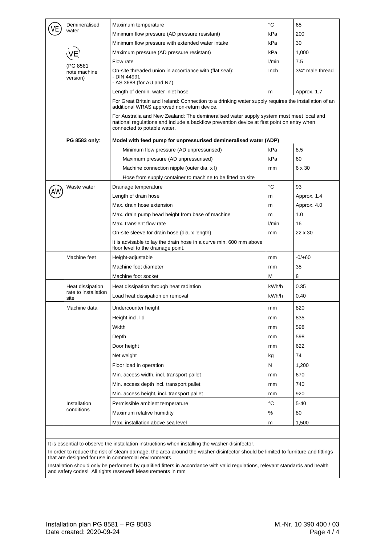|  | Demineralised<br>water       | Maximum temperature                                                                                                                                                                                                   | °C    | 65               |  |  |
|--|------------------------------|-----------------------------------------------------------------------------------------------------------------------------------------------------------------------------------------------------------------------|-------|------------------|--|--|
|  |                              | Minimum flow pressure (AD pressure resistant)                                                                                                                                                                         | kPa   | 200              |  |  |
|  |                              | Minimum flow pressure with extended water intake                                                                                                                                                                      | kPa   | 30               |  |  |
|  |                              | Maximum pressure (AD pressure resistant)                                                                                                                                                                              | kPa   | 1,000            |  |  |
|  |                              | Flow rate                                                                                                                                                                                                             | l/min | 7.5              |  |  |
|  | (PG 8581                     | On-site threaded union in accordance with (flat seal):                                                                                                                                                                | Inch  | 3/4" male thread |  |  |
|  | note machine<br>version)     | - DIN 44991<br>- AS 3688 (for AU and NZ)                                                                                                                                                                              |       |                  |  |  |
|  |                              | Length of demin. water inlet hose                                                                                                                                                                                     | m     | Approx. 1.7      |  |  |
|  |                              | For Great Britain and Ireland: Connection to a drinking water supply requires the installation of an<br>additional WRAS approved non-return device.                                                                   |       |                  |  |  |
|  |                              | For Australia and New Zealand: The demineralised water supply system must meet local and<br>national regulations and include a backflow prevention device at first point on entry when<br>connected to potable water. |       |                  |  |  |
|  | PG 8583 only:                | Model with feed pump for unpressurised demineralised water (ADP)                                                                                                                                                      |       |                  |  |  |
|  |                              | Minimum flow pressure (AD unpressurised)                                                                                                                                                                              | kPa   | 8.5              |  |  |
|  |                              | Maximum pressure (AD unpressurised)                                                                                                                                                                                   | kPa   | 60               |  |  |
|  |                              | Machine connection nipple (outer dia. x I)                                                                                                                                                                            | mm    | 6 x 30           |  |  |
|  |                              | Hose from supply container to machine to be fitted on site                                                                                                                                                            |       |                  |  |  |
|  | Waste water                  | Drainage temperature                                                                                                                                                                                                  | °C    | 93               |  |  |
|  |                              | Length of drain hose                                                                                                                                                                                                  | m     | Approx. 1.4      |  |  |
|  |                              | Max, drain hose extension                                                                                                                                                                                             | m     | Approx. 4.0      |  |  |
|  |                              | Max. drain pump head height from base of machine                                                                                                                                                                      | m     | 1.0              |  |  |
|  |                              | Max. transient flow rate                                                                                                                                                                                              | l/min | 16               |  |  |
|  |                              | On-site sleeve for drain hose (dia. x length)                                                                                                                                                                         | mm    | $22 \times 30$   |  |  |
|  |                              | It is advisable to lay the drain hose in a curve min. 600 mm above<br>floor level to the drainage point.                                                                                                              |       |                  |  |  |
|  | Machine feet                 | Height-adjustable                                                                                                                                                                                                     | mm    | $-0/+60$         |  |  |
|  |                              | Machine foot diameter                                                                                                                                                                                                 | mm    | 35               |  |  |
|  |                              | Machine foot socket                                                                                                                                                                                                   | M     | 8                |  |  |
|  | Heat dissipation             | Heat dissipation through heat radiation                                                                                                                                                                               | kWh/h | 0.35             |  |  |
|  | rate to installation<br>site | Load heat dissipation on removal                                                                                                                                                                                      | kWh/h | 0.40             |  |  |
|  | Machine data                 | Undercounter height                                                                                                                                                                                                   | mm    | 820              |  |  |
|  |                              | Height incl. lid                                                                                                                                                                                                      | mm    | 835              |  |  |
|  |                              | Width                                                                                                                                                                                                                 |       | 598              |  |  |
|  |                              |                                                                                                                                                                                                                       | mm    | 598              |  |  |
|  |                              | Depth                                                                                                                                                                                                                 | mm    |                  |  |  |
|  |                              | Door height                                                                                                                                                                                                           | mm    | 622              |  |  |
|  |                              | Net weight                                                                                                                                                                                                            | kg    | 74               |  |  |
|  |                              | Floor load in operation                                                                                                                                                                                               | N     | 1,200            |  |  |
|  |                              | Min. access width, incl. transport pallet                                                                                                                                                                             | mm    | 670              |  |  |
|  |                              | Min. access depth incl. transport pallet                                                                                                                                                                              | mm    | 740              |  |  |
|  |                              | Min. access height, incl. transport pallet                                                                                                                                                                            | mm    | 920              |  |  |
|  | Installation<br>conditions   | Permissible ambient temperature                                                                                                                                                                                       | °C    | $5 - 40$         |  |  |
|  |                              | Maximum relative humidity                                                                                                                                                                                             | ℅     | 80               |  |  |
|  |                              | Max. installation above sea level                                                                                                                                                                                     | m     | 1,500            |  |  |

It is essential to observe the installation instructions when installing the washer-disinfector.

In order to reduce the risk of steam damage, the area around the washer-disinfector should be limited to furniture and fittings that are designed for use in commercial environments.

Installation should only be performed by qualified fitters in accordance with valid regulations, relevant standards and health and safety codes! All rights reserved! Measurements in mm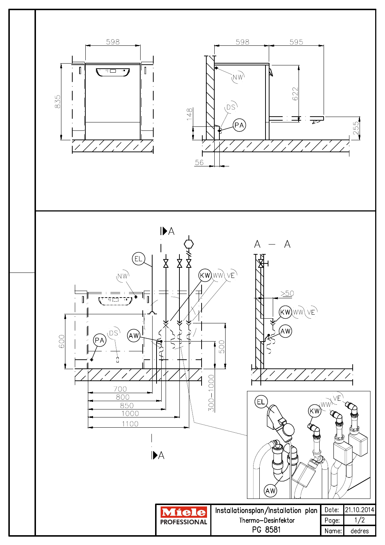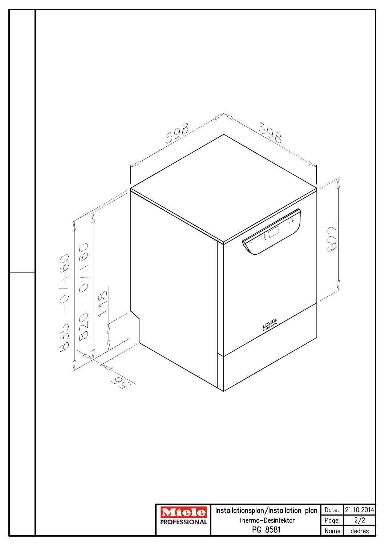![](_page_5_Figure_0.jpeg)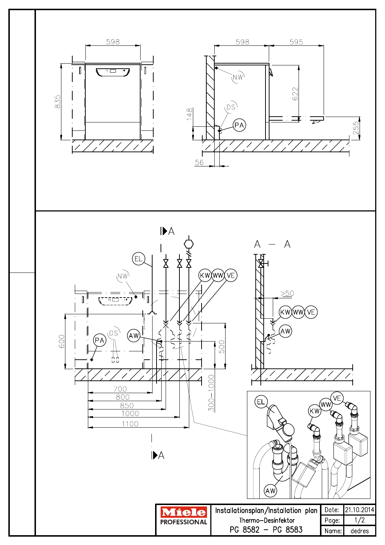![](_page_6_Figure_0.jpeg)